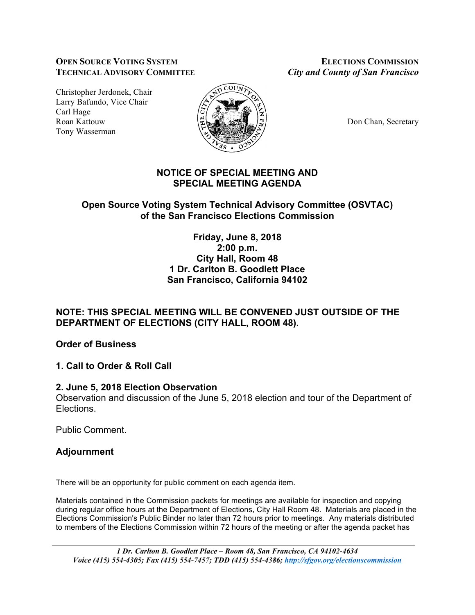#### **OPEN SOURCE VOTING SYSTEM ELECTIONS COMMISSION TECHNICAL ADVISORY COMMITTEE** *City and County of San Francisco*

Christopher Jerdonek, Chair Larry Bafundo, Vice Chair Carl Hage Roan Kattouw **ELOCAL CHAN, ACTIVE ACT AND ACT OF DON** Chan, Secretary Tony Wasserman



# **NOTICE OF SPECIAL MEETING AND SPECIAL MEETING AGENDA**

## **Open Source Voting System Technical Advisory Committee (OSVTAC) of the San Francisco Elections Commission**

**Friday, June 8, 2018 2:00 p.m. City Hall, Room 48 1 Dr. Carlton B. Goodlett Place San Francisco, California 94102**

# **NOTE: THIS SPECIAL MEETING WILL BE CONVENED JUST OUTSIDE OF THE DEPARTMENT OF ELECTIONS (CITY HALL, ROOM 48).**

**Order of Business**

**1. Call to Order & Roll Call**

## **2. June 5, 2018 Election Observation**

Observation and discussion of the June 5, 2018 election and tour of the Department of **Elections** 

Public Comment.

## **Adjournment**

There will be an opportunity for public comment on each agenda item.

Materials contained in the Commission packets for meetings are available for inspection and copying during regular office hours at the Department of Elections, City Hall Room 48. Materials are placed in the Elections Commission's Public Binder no later than 72 hours prior to meetings. Any materials distributed to members of the Elections Commission within 72 hours of the meeting or after the agenda packet has